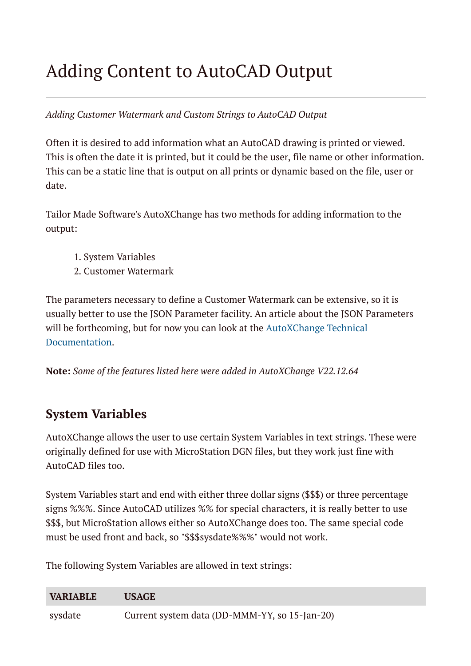# Adding Content to AutoCAD Output

#### *Adding Customer Watermark and Custom Strings to AutoCAD Output*

Often it is desired to add information what an AutoCAD drawing is printed or viewed. This is often the date it is printed, but it could be the user, file name or other information. This can be a static line that is output on all prints or dynamic based on the file, user or date.

Tailor Made Software's AutoXChange has two methods for adding information to the output:

- 1. System Variables
- 2. Customer Watermark

The parameters necessary to define a Customer Watermark can be extensive, so it is usually better to use the JSON Parameter facility. An article about the JSON Parameters will be [forthcoming, but](https://tailormade.com/ax2020techdocs/json/) for now you can look at the AutoXChange Technical Documentation.

**Note:** *Some of the features listed here were added in AutoXChange V22.12.64*

# **System Variables**

AutoXChange allows the user to use certain System Variables in text strings. These were originally defined for use with MicroStation DGN files, but they work just fine with AutoCAD files too.

System Variables start and end with either three dollar signs (\$\$\$) or three percentage signs %%%. Since AutoCAD utilizes %% for special characters, it is really better to use \$\$\$, but MicroStation allows either so AutoXChange does too. The same special code must be used front and back, so "\$\$\$sysdate%%%" would not work.

The following System Variables are allowed in text strings:

| <b>VARIABLE</b> | <b>USAGE</b>                                  |
|-----------------|-----------------------------------------------|
| sysdate         | Current system data (DD-MMM-YY, so 15-Jan-20) |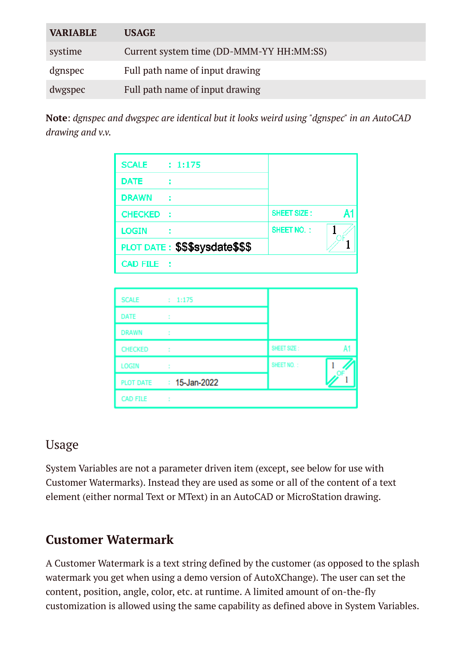| <b>VARIABLE</b> | <b>USAGE</b>                             |
|-----------------|------------------------------------------|
| systime         | Current system time (DD-MMM-YY HH:MM:SS) |
| dgnspec         | Full path name of input drawing          |
| dwgspec         | Full path name of input drawing          |

**Note**: *dgnspec and dwgspec are identical but it looks weird using "dgnspec" in an AutoCAD drawing and v.v.*

| <b>SCALE : 1:175</b> |                                |                    |    |
|----------------------|--------------------------------|--------------------|----|
| <b>DATE</b>          |                                |                    |    |
| <b>DRAWN</b>         | $\sim$ 1                       |                    |    |
| <b>CHECKED</b>       | - 2                            | <b>SHEET SIZE:</b> | A1 |
| <b>LOGIN</b>         |                                | <b>SHEET NO.:</b>  |    |
|                      | PLOT DATE: \$\$\$sysdate\$\$\$ |                    |    |
| CAD FILE :           |                                |                    |    |
|                      |                                |                    |    |
| <b>SCALE</b>         | : 1:175                        |                    |    |
| DATE                 | $\sim$                         |                    |    |

| <b>SCALE</b>     | : 1:175          |             |  |
|------------------|------------------|-------------|--|
| <b>DATE</b>      | t                |             |  |
| <b>DRAWN</b>     |                  |             |  |
| <b>CHECKED</b>   | ÷                | SHEET SIZE: |  |
| <b>LOGIN</b>     |                  | SHEET NO.:  |  |
| <b>PLOT DATE</b> | $: 15$ -Jan-2022 |             |  |
| <b>CAD FILE</b>  |                  |             |  |

#### Usage

System Variables are not a parameter driven item (except, see below for use with Customer Watermarks). Instead they are used as some or all of the content of a text element (either normal Text or MText) in an AutoCAD or MicroStation drawing.

# **Customer Watermark**

A Customer Watermark is a text string defined by the customer (as opposed to the splash watermark you get when using a demo version of AutoXChange). The user can set the content, position, angle, color, etc. at runtime. A limited amount of on-the-fly customization is allowed using the same capability as defined above in System Variables.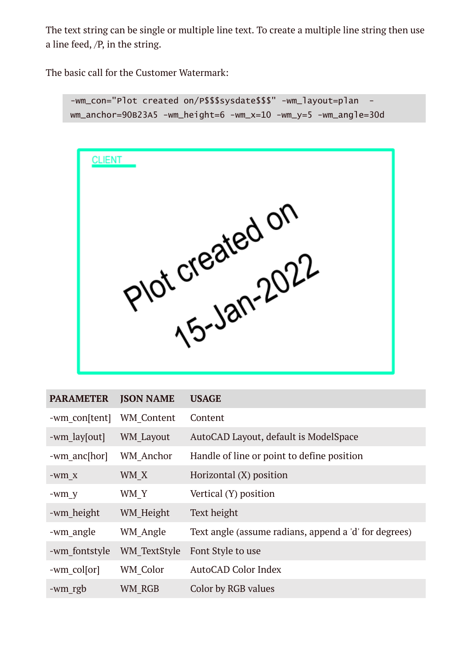The text string can be single or multiple line text. To create a multiple line string then use a line feed, /P, in the string.

The basic call for the Customer Watermark:

```
-wm_con="Plot created on/P$$$sysdate$$$" -wm_layout=plan -
wm_anchor=90B23A5 -wm_height=6 -wm_x=10 -wm_y=5 -wm_angle=30d
```


| <b>PARAMETER</b> | <b>JSON NAME</b>    | <b>USAGE</b>                                          |
|------------------|---------------------|-------------------------------------------------------|
| -wm con[tent]    | WM Content          | Content                                               |
| -wm lay[out]     | WM Layout           | AutoCAD Layout, default is ModelSpace                 |
| -wm anc[hor]     | <b>WM</b> Anchor    | Handle of line or point to define position            |
| -wm x            | WM X                | Horizontal (X) position                               |
| -wm y            | WM Y                | Vertical (Y) position                                 |
| -wm height       | WM Height           | Text height                                           |
| -wm angle        | WM Angle            | Text angle (assume radians, append a 'd' for degrees) |
| -wm fontstyle    | <b>WM TextStyle</b> | Font Style to use                                     |
| -wm colsor       | WM Color            | <b>AutoCAD Color Index</b>                            |
| -wm rgb          | WM RGB              | Color by RGB values                                   |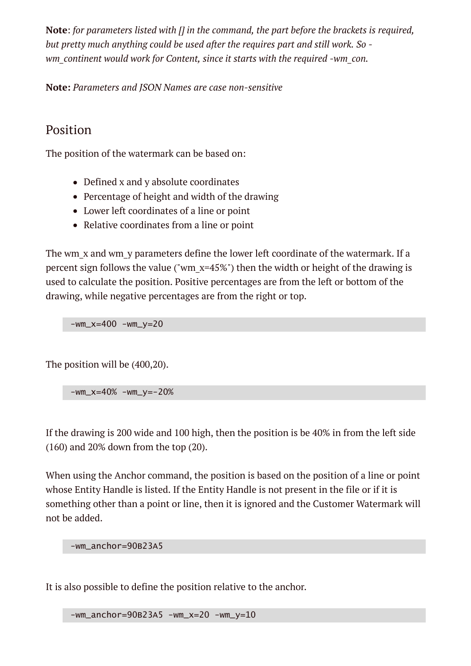**Note**: *for parameters listed with [] in the command, the part before the brackets is required, but pretty much anything could be used after the requires part and still work. So wm\_continent would work for Content, since it starts with the required -wm\_con.*

**Note:** *Parameters and JSON Names are case non-sensitive*

#### Position

The position of the watermark can be based on:

- Defined x and y absolute coordinates
- Percentage of height and width of the drawing
- Lower left coordinates of a line or point
- Relative coordinates from a line or point

The wm\_x and wm\_y parameters define the lower left coordinate of the watermark. If a percent sign follows the value ("wm  $x=45\%$ ") then the width or height of the drawing is used to calculate the position. Positive percentages are from the left or bottom of the drawing, while negative percentages are from the right or top.

 $-wm_x=400 - wm_y=20$ 

The position will be (400,20).

 $-wm_x=40\%$  -wm\_y=-20%

If the drawing is 200 wide and 100 high, then the position is be 40% in from the left side (160) and 20% down from the top (20).

When using the Anchor command, the position is based on the position of a line or point whose Entity Handle is listed. If the Entity Handle is not present in the file or if it is something other than a point or line, then it is ignored and the Customer Watermark will not be added.

-wm\_anchor=90B23A5

It is also possible to define the position relative to the anchor.

-wm\_anchor=90B23A5 -wm\_x=20 -wm\_y=10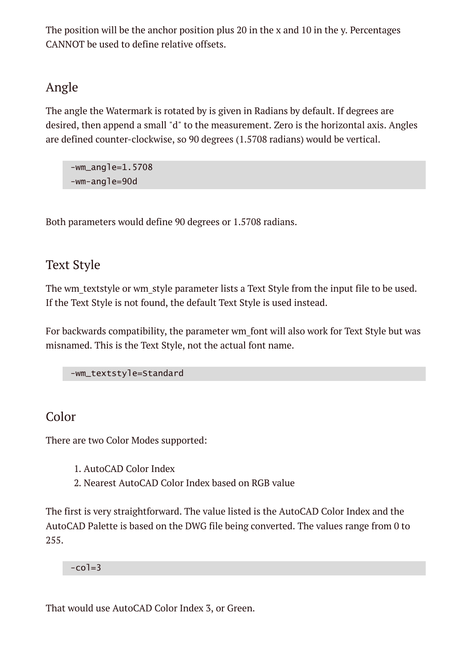The position will be the anchor position plus 20 in the x and 10 in the y. Percentages CANNOT be used to define relative offsets.

### Angle

The angle the Watermark is rotated by is given in Radians by default. If degrees are desired, then append a small "d" to the measurement. Zero is the horizontal axis. Angles are defined counter-clockwise, so 90 degrees (1.5708 radians) would be vertical.

-wm\_angle=1.5708 -wm-angle=90d

Both parameters would define 90 degrees or 1.5708 radians.

### Text Style

The wm textstyle or wm style parameter lists a Text Style from the input file to be used. If the Text Style is not found, the default Text Style is used instead.

For backwards compatibility, the parameter wm font will also work for Text Style but was misnamed. This is the Text Style, not the actual font name.

-wm\_textstyle=Standard

#### Color

There are two Color Modes supported:

- 1. AutoCAD Color Index
- 2. Nearest AutoCAD Color Index based on RGB value

The first is very straightforward. The value listed is the AutoCAD Color Index and the AutoCAD Palette is based on the DWG file being converted. The values range from 0 to 255.

 $-co$ ]=3

That would use AutoCAD Color Index 3, or Green.